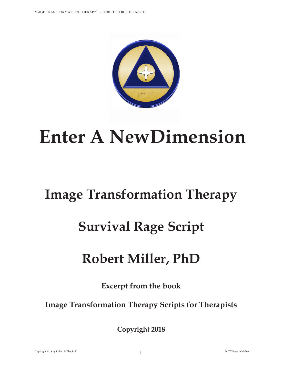

# **Enter A NewDimension**

#### **Image Transformation Therapy**

## **Survival Rage Script**

### **Robert Miller, PhD**

**Excerpt from the book**

**Image Transformation Therapy Scripts for Therapists**

**Copyright 2018**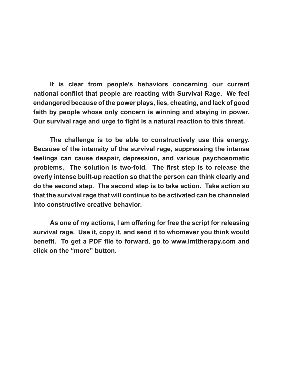**It is clear from people's behaviors concerning our current national conflict that people are reacting with Survival Rage. We feel endangered because of the power plays, lies, cheating, and lack of good faith by people whose only concern is winning and staying in power. Our survival rage and urge to fight is a natural reaction to this threat.**

**The challenge is to be able to constructively use this energy. Because of the intensity of the survival rage, suppressing the intense feelings can cause despair, depression, and various psychosomatic problems. The solution is two-fold. The first step is to release the overly intense built-up reaction so that the person can think clearly and do the second step. The second step is to take action. Take action so that the survival rage that will continue to be activated can be channeled into constructive creative behavior.**

**As one of my actions, I am offering for free the script for releasing survival rage. Use it, copy it, and send it to whomever you think would benefit. To get a PDF file to forward, go to www.imttherapy.com and click on the "more" button.**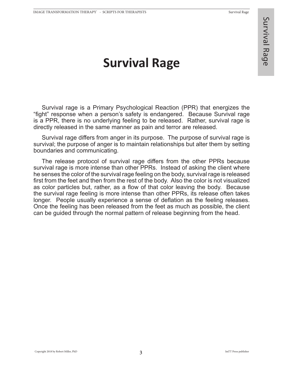#### **Survival Rage**

Survival rage is a Primary Psychological Reaction (PPR) that energizes the "fight" response when a person's safety is endangered. Because Survival rage is a PPR, there is no underlying feeling to be released. Rather, survival rage is directly released in the same manner as pain and terror are released.

Survival rage differs from anger in its purpose. The purpose of survival rage is survival; the purpose of anger is to maintain relationships but alter them by setting boundaries and communicating.

The release protocol of survival rage differs from the other PPRs because survival rage is more intense than other PPRs. Instead of asking the client where he senses the color of the survival rage feeling on the body, survival rage is released first from the feet and then from the rest of the body. Also the color is not visualized as color particles but, rather, as a flow of that color leaving the body. Because the survival rage feeling is more intense than other PPRs, its release often takes longer. People usually experience a sense of deflation as the feeling releases. Once the feeling has been released from the feet as much as possible, the client can be guided through the normal pattern of release beginning from the head.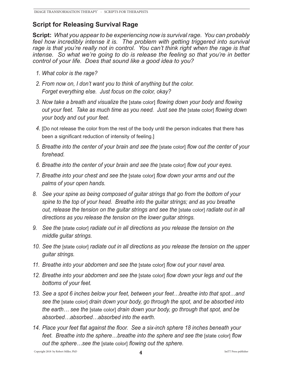#### **Script for Releasing Survival Rage**

**Script:** *What you appear to be experiencing now is survival rage. You can probably*  feel how incredibly intense it is. The problem with getting triggered into survival *rage is that you're really not in control. You can't think right when the rage is that intense. So what we're going to do is release the feeling so that you're in better control of your life. Does that sound like a good idea to you?* 

- *1. What color is the rage?*
- *2. From now on, I don't want you to think of anything but the color. Forget everything else. Just focus on the color, okay?*
- *3. Now take a breath and visualize the* [state color] *flowing down your body and flowing out your feet. Take as much time as you need. Just see the* [state color] *flowing down your body and out your feet.*
- *4.* [Do not release the color from the rest of the body until the person indicates that there has been a significant reduction of intensity of feeling.]
- *5. Breathe into the center of your brain and see the* [state color] *flow out the center of your forehead.*
- *6. Breathe into the center of your brain and see the* [state color] *flow out your eyes.*
- *7. Breathe into your chest and see the* [state color] *flow down your arms and out the palms of your open hands.*
- *8. See your spine as being composed of guitar strings that go from the bottom of your spine to the top of your head. Breathe into the guitar strings; and as you breathe out, release the tension on the guitar strings and see the* [state color] *radiate out in all directions as you release the tension on the lower guitar strings.*
- *9. See the* [state color] *radiate out in all directions as you release the tension on the middle guitar strings.*
- *10. See the* [state color] *radiate out in all directions as you release the tension on the upper guitar strings.*
- *11. Breathe into your abdomen and see the* [state color] *flow out your navel area.*
- *12. Breathe into your abdomen and see the* [state color] *flow down your legs and out the bottoms of your feet.*
- *13. See a spot 6 inches below your feet, between your feet…breathe into that spot…and see the* [state color] *drain down your body, go through the spot, and be absorbed into the earth… see the* [state color] *drain down your body, go through that spot, and be absorbed…absorbed…absorbed into the earth.*
- *14. Place your feet flat against the floor. See a six-inch sphere 18 inches beneath your feet. Breathe into the sphere...breathe into the sphere and see the [state color] flow out the sphere…see the* [state color] *flowing out the sphere.*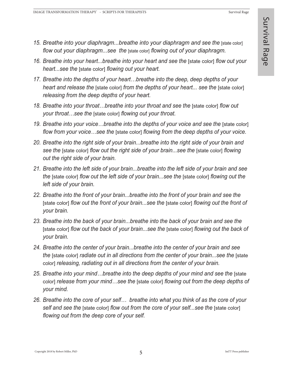- **15. Breathe into your diaphragm...breathe into your diaphragm and see the [state color]** *flow out your diaphragm...see the* [state color] *flowing out of your diaphragm.*
- 16. Breathe into your heart...breathe into your heart and see the [state color] flow out your *heart...see the* [state color] *flowing out your heart.*
- *17. Breathe into the depths of your heart…breathe into the deep, deep depths of your heart and release the [state color] from the depths of your heart... see the [state color] releasing from the deep depths of your heart.*
- 18. Breathe into your throat...breathe into your throat and see the [state color] flow out *your throat…see the* [state color] *flowing out your throat.*
- 19. Breathe into your voice...breathe into the depths of your voice and see the [state color] *flow from your voice…see the* [state color] *flowing from the deep depths of your voice.*
- *20. Breathe into the right side of your brain...breathe into the right side of your brain and see the* [state color] *flow out the right side of your brain...see the* [state color] *flowing out the right side of your brain.*
- *21. Breathe into the left side of your brain...breathe into the left side of your brain and see the* [state color] *flow out the left side of your brain...see the* [state color] *flowing out the left side of your brain.*
- *22. Breathe into the front of your brain...breathe into the front of your brain and see the*  [state color] *flow out the front of your brain...see the* [state color] *flowing out the front of your brain.*
- *23. Breathe into the back of your brain...breathe into the back of your brain and see the*  [state color] *flow out the back of your brain...see the* [state color] *flowing out the back of your brain.*
- *24. Breathe into the center of your brain...breathe into the center of your brain and see the* [state color] *radiate out in all directions from the center of your brain...see the* [state color] *releasing, radiating out in all directions from the center of your brain.*
- *25. Breathe into your mind…breathe into the deep depths of your mind and see the* [state color] *release from your mind…see the* [state color] *flowing out from the deep depths of your mind.*
- *26. Breathe into the core of your self… breathe into what you think of as the core of your self and see the* [state color] *flow out from the core of your self...see the* [state color] *flowing out from the deep core of your self.*